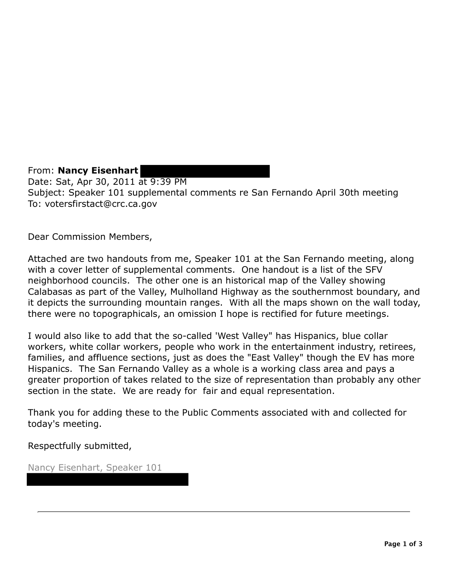From: **Nancy Eisenhart** Date: Sat, Apr 30, 2011 at 9:39 PM Subject: Speaker 101 supplemental comments re San Fernando April 30th meeting To: votersfirstact@crc.ca.gov

Dear Commission Members,

Attached are two handouts from me, Speaker 101 at the San Fernando meeting, along with a cover letter of supplemental comments. One handout is a list of the SFV neighborhood councils. The other one is an historical map of the Valley showing Calabasas as part of the Valley, Mulholland Highway as the southernmost boundary, and it depicts the surrounding mountain ranges. With all the maps shown on the wall today, there were no topographicals, an omission I hope is rectified for future meetings.

I would also like to add that the so-called 'West Valley" has Hispanics, blue collar workers, white collar workers, people who work in the entertainment industry, retirees, families, and affluence sections, just as does the "East Valley" though the EV has more Hispanics. The San Fernando Valley as a whole is a working class area and pays a greater proportion of takes related to the size of representation than probably any other section in the state. We are ready for fair and equal representation.

Thank you for adding these to the Public Comments associated with and collected for today's meeting.

Respectfully submitted,

Nancy Eisenhart, Speaker 101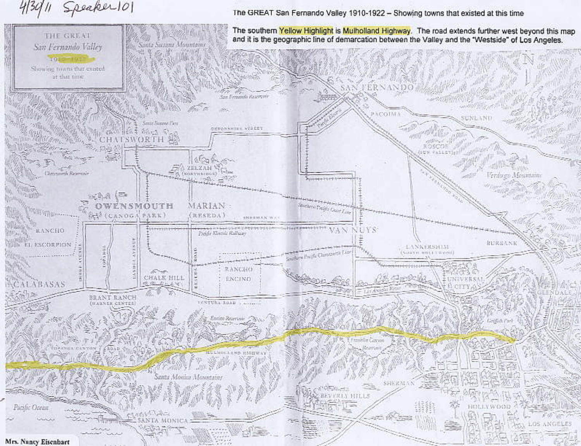Speaker 101

The GREAT San Fernando Valley 1910-1922 - Showing towns that existed at this time

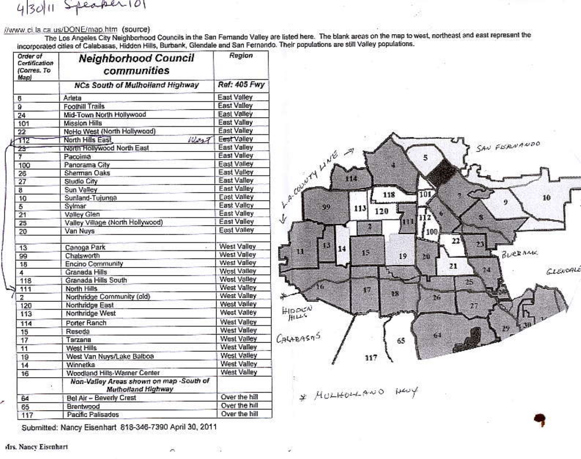$430||$  Speaker 101

## //www.ci.la.ca.us/DONE/map.htm (source)

The Los Angeles City Neighborhood Councils in the San Femando Valley are listed here. The blank areas on the map to west, northeast and east represent the incorporated cities of Calabasas, Hidden Hills, Burbank, Glendale a

| Order of<br>Certification<br>(Corres, To<br>Map) | Neighborhood Council<br>communities                           | Region             |
|--------------------------------------------------|---------------------------------------------------------------|--------------------|
|                                                  | NCs South of Mulholland Highway                               | Ref: 405 Fwy       |
| 6                                                | Arleta                                                        | East Valley        |
| $\overline{9}$                                   | <b>Foothill Trails</b>                                        | <b>East Valley</b> |
| 24                                               | Mid-Town North Hollywood                                      | East Valley        |
| 101                                              | Mission Hills                                                 | East Valley        |
| $\overline{22}$                                  | NoHo West (North Hollywood)                                   | <b>East Valley</b> |
| 112                                              | North Hills East<br>West                                      | East Valley        |
| 28                                               | North Hollywood North East                                    | East Valley        |
| 7                                                | Pacoima                                                       | <b>East Valley</b> |
| 100                                              | Panorama City                                                 | East Valley        |
| 26                                               | Sherman Oaks                                                  | East Valley        |
| 27                                               | Studio City                                                   | East Valley        |
| 8                                                | Sun Valley                                                    | <b>East Valley</b> |
| 10                                               | Sunland-Tujunga                                               | East Valley        |
| 5                                                | Sylmar                                                        | East Valley        |
| $\overline{21}$                                  | Valley Glen                                                   | <b>East Valley</b> |
| 25                                               | Valley Village (North Hollywood)                              | <b>East Valley</b> |
| 20                                               | Van Nuys                                                      | East Valley        |
| 13                                               | Canaga Park                                                   | West Valley        |
| 99                                               | Chatsworth                                                    | West Valley        |
| 18                                               | <b>Encino Community</b>                                       | West Valley        |
| 4                                                | Granada Hills                                                 | West Valley        |
| 118                                              | Granada Hills South                                           | West Valley        |
| 111                                              | North Hills                                                   | West Valley        |
| $\overline{z}$                                   | Northridge Community (old)                                    | West Valley        |
| 120                                              | Northridge East                                               | West Valley        |
| 113                                              | Northridge West                                               | West Valley        |
| 114                                              | Porter Ranch                                                  | West Valley        |
| 15                                               | Reseda                                                        | <b>West Valley</b> |
| 17                                               | Tarzana                                                       | West Valley        |
| 11                                               | West Hills                                                    | <b>West Valley</b> |
| 19                                               | West Van Nuys/Lake Balboa                                     | West Valley        |
| 14                                               | Winnetka                                                      | West Valley        |
| 16                                               | Woodland Hills-Warner Center                                  | West Valley        |
| ú.                                               | Non-Valley Areas shown on map -South of<br>Mutholland Highway |                    |
| 64                                               | Bel Air - Beverly Crest                                       | Over the hill      |
| 65                                               | Brentwood                                                     | Over the hill      |
| 117                                              | Pacific Palisades                                             | Over the hill      |



Submitted: Nancy Eisenhart 818-346-7390 April 30, 2011

×.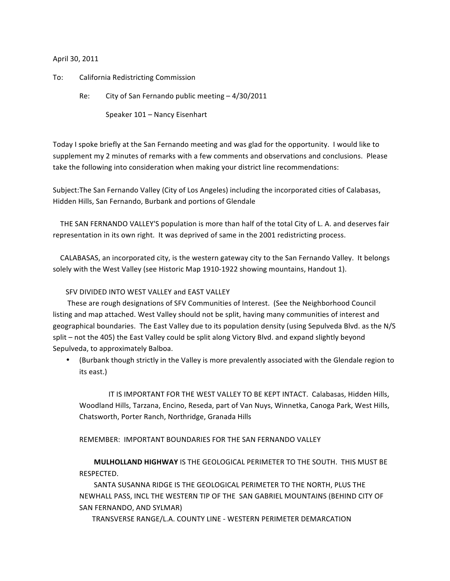## April 30, 2011

To: California Redistricting Commission

Re: City of San Fernando public meeting  $- 4/30/2011$ 

Speaker  $101$  – Nancy Eisenhart

Today I spoke briefly at the San Fernando meeting and was glad for the opportunity. I would like to supplement my 2 minutes of remarks with a few comments and observations and conclusions. Please take the following into consideration when making your district line recommendations:

Subject:The San Fernando Valley (City of Los Angeles) including the incorporated cities of Calabasas, Hidden Hills, San Fernando, Burbank and portions of Glendale

THE SAN FERNANDO VALLEY'S population is more than half of the total City of L. A. and deserves fair representation in its own right. It was deprived of same in the 2001 redistricting process.

CALABASAS, an incorporated city, is the western gateway city to the San Fernando Valley. It belongs solely with the West Valley (see Historic Map 1910-1922 showing mountains, Handout 1).

## SFV DIVIDED INTO WEST VALLEY and EAST VALLEY

These are rough designations of SFV Communities of Interest. (See the Neighborhood Council listing and map attached. West Valley should not be split, having many communities of interest and geographical boundaries. The East Valley due to its population density (using Sepulveda Blvd. as the N/S split - not the 405) the East Valley could be split along Victory Blvd. and expand slightly beyond Sepulveda, to approximately Balboa.

• (Burbank though strictly in the Valley is more prevalently associated with the Glendale region to its east.)

IT IS IMPORTANT FOR THE WEST VALLEY TO BE KEPT INTACT. Calabasas, Hidden Hills, Woodland Hills, Tarzana, Encino, Reseda, part of Van Nuys, Winnetka, Canoga Park, West Hills, Chatsworth, Porter Ranch, Northridge, Granada Hills

REMEMBER: IMPORTANT BOUNDARIES FOR THE SAN FERNANDO VALLEY

**MULHOLLAND HIGHWAY** IS THE GEOLOGICAL PERIMETER TO THE SOUTH. THIS MUST BE RESPECTED.

SANTA SUSANNA RIDGE IS THE GEOLOGICAL PERIMETER TO THE NORTH, PLUS THE NEWHALL PASS, INCL THE WESTERN TIP OF THE SAN GABRIEL MOUNTAINS (BEHIND CITY OF SAN FERNANDO, AND SYLMAR)

TRANSVERSE RANGE/L.A. COUNTY LINE - WESTERN PERIMETER DEMARCATION